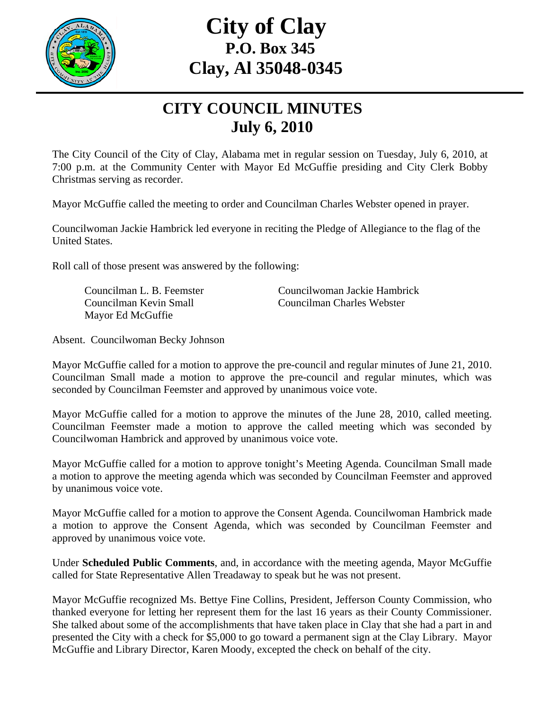

## **City of Clay P.O. Box 345 Clay, Al 35048-0345**

## **CITY COUNCIL MINUTES July 6, 2010**

The City Council of the City of Clay, Alabama met in regular session on Tuesday, July 6, 2010, at 7:00 p.m. at the Community Center with Mayor Ed McGuffie presiding and City Clerk Bobby Christmas serving as recorder.

Mayor McGuffie called the meeting to order and Councilman Charles Webster opened in prayer.

Councilwoman Jackie Hambrick led everyone in reciting the Pledge of Allegiance to the flag of the United States.

Roll call of those present was answered by the following:

Mayor Ed McGuffie

Councilman L. B. Feemster Councilwoman Jackie Hambrick Councilman Kevin Small Councilman Charles Webster

Absent. Councilwoman Becky Johnson

Mayor McGuffie called for a motion to approve the pre-council and regular minutes of June 21, 2010. Councilman Small made a motion to approve the pre-council and regular minutes, which was seconded by Councilman Feemster and approved by unanimous voice vote.

Mayor McGuffie called for a motion to approve the minutes of the June 28, 2010, called meeting. Councilman Feemster made a motion to approve the called meeting which was seconded by Councilwoman Hambrick and approved by unanimous voice vote.

Mayor McGuffie called for a motion to approve tonight's Meeting Agenda. Councilman Small made a motion to approve the meeting agenda which was seconded by Councilman Feemster and approved by unanimous voice vote.

Mayor McGuffie called for a motion to approve the Consent Agenda. Councilwoman Hambrick made a motion to approve the Consent Agenda, which was seconded by Councilman Feemster and approved by unanimous voice vote.

Under **Scheduled Public Comments**, and, in accordance with the meeting agenda, Mayor McGuffie called for State Representative Allen Treadaway to speak but he was not present.

Mayor McGuffie recognized Ms. Bettye Fine Collins, President, Jefferson County Commission, who thanked everyone for letting her represent them for the last 16 years as their County Commissioner. She talked about some of the accomplishments that have taken place in Clay that she had a part in and presented the City with a check for \$5,000 to go toward a permanent sign at the Clay Library. Mayor McGuffie and Library Director, Karen Moody, excepted the check on behalf of the city.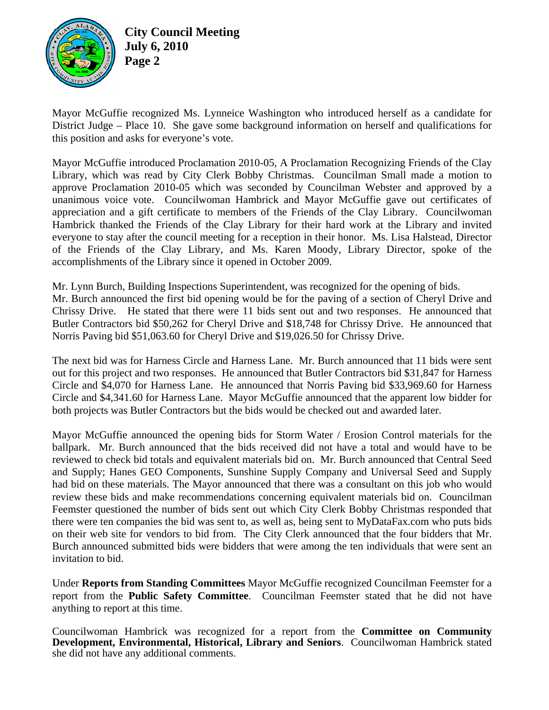

**City Council Meeting July 6, 2010 Page 2** 

Mayor McGuffie recognized Ms. Lynneice Washington who introduced herself as a candidate for District Judge – Place 10. She gave some background information on herself and qualifications for this position and asks for everyone's vote.

Mayor McGuffie introduced Proclamation 2010-05, A Proclamation Recognizing Friends of the Clay Library, which was read by City Clerk Bobby Christmas. Councilman Small made a motion to approve Proclamation 2010-05 which was seconded by Councilman Webster and approved by a unanimous voice vote. Councilwoman Hambrick and Mayor McGuffie gave out certificates of appreciation and a gift certificate to members of the Friends of the Clay Library. Councilwoman Hambrick thanked the Friends of the Clay Library for their hard work at the Library and invited everyone to stay after the council meeting for a reception in their honor. Ms. Lisa Halstead, Director of the Friends of the Clay Library, and Ms. Karen Moody, Library Director, spoke of the accomplishments of the Library since it opened in October 2009.

Mr. Lynn Burch, Building Inspections Superintendent, was recognized for the opening of bids. Mr. Burch announced the first bid opening would be for the paving of a section of Cheryl Drive and Chrissy Drive. He stated that there were 11 bids sent out and two responses. He announced that Butler Contractors bid \$50,262 for Cheryl Drive and \$18,748 for Chrissy Drive. He announced that Norris Paving bid \$51,063.60 for Cheryl Drive and \$19,026.50 for Chrissy Drive.

The next bid was for Harness Circle and Harness Lane. Mr. Burch announced that 11 bids were sent out for this project and two responses. He announced that Butler Contractors bid \$31,847 for Harness Circle and \$4,070 for Harness Lane. He announced that Norris Paving bid \$33,969.60 for Harness Circle and \$4,341.60 for Harness Lane. Mayor McGuffie announced that the apparent low bidder for both projects was Butler Contractors but the bids would be checked out and awarded later.

Mayor McGuffie announced the opening bids for Storm Water / Erosion Control materials for the ballpark. Mr. Burch announced that the bids received did not have a total and would have to be reviewed to check bid totals and equivalent materials bid on. Mr. Burch announced that Central Seed and Supply; Hanes GEO Components, Sunshine Supply Company and Universal Seed and Supply had bid on these materials. The Mayor announced that there was a consultant on this job who would review these bids and make recommendations concerning equivalent materials bid on. Councilman Feemster questioned the number of bids sent out which City Clerk Bobby Christmas responded that there were ten companies the bid was sent to, as well as, being sent to MyDataFax.com who puts bids on their web site for vendors to bid from. The City Clerk announced that the four bidders that Mr. Burch announced submitted bids were bidders that were among the ten individuals that were sent an invitation to bid.

Under **Reports from Standing Committees** Mayor McGuffie recognized Councilman Feemster for a report from the **Public Safety Committee**. Councilman Feemster stated that he did not have anything to report at this time.

Councilwoman Hambrick was recognized for a report from the **Committee on Community Development, Environmental, Historical, Library and Seniors**. Councilwoman Hambrick stated she did not have any additional comments.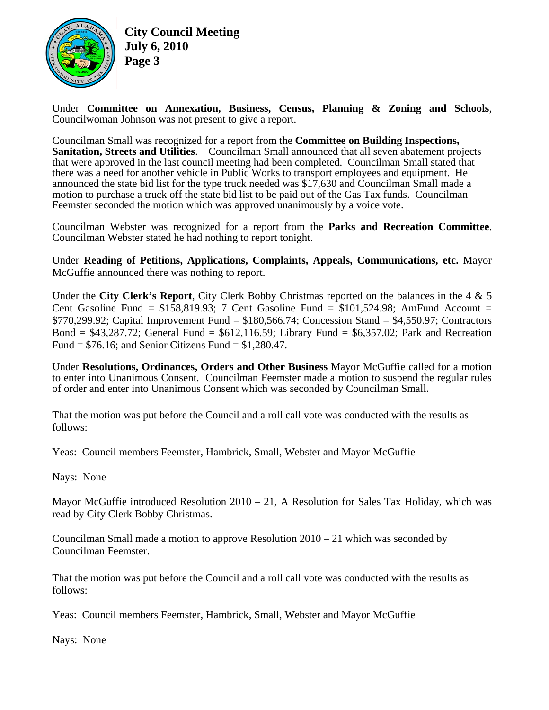

**City Council Meeting July 6, 2010 Page 3** 

Under **Committee on Annexation, Business, Census, Planning & Zoning and Schools**, Councilwoman Johnson was not present to give a report.

Councilman Small was recognized for a report from the **Committee on Building Inspections, Sanitation, Streets and Utilities**. Councilman Small announced that all seven abatement projects that were approved in the last council meeting had been completed. Councilman Small stated that there was a need for another vehicle in Public Works to transport employees and equipment. He announced the state bid list for the type truck needed was \$17,630 and Councilman Small made a motion to purchase a truck off the state bid list to be paid out of the Gas Tax funds. Councilman Feemster seconded the motion which was approved unanimously by a voice vote.

Councilman Webster was recognized for a report from the **Parks and Recreation Committee**. Councilman Webster stated he had nothing to report tonight.

Under **Reading of Petitions, Applications, Complaints, Appeals, Communications, etc.** Mayor McGuffie announced there was nothing to report.

Under the **City Clerk's Report**, City Clerk Bobby Christmas reported on the balances in the 4 & 5 Cent Gasoline Fund =  $$158,819.93$ ; 7 Cent Gasoline Fund =  $$101,524.98$ ; AmFund Account = \$770,299.92; Capital Improvement Fund = \$180,566.74; Concession Stand = \$4,550.97; Contractors Bond =  $$43,287.72$ ; General Fund =  $$612,116.59$ ; Library Fund =  $$6,357.02$ ; Park and Recreation Fund =  $$76.16$ ; and Senior Citizens Fund =  $$1,280.47$ .

Under **Resolutions, Ordinances, Orders and Other Business** Mayor McGuffie called for a motion to enter into Unanimous Consent. Councilman Feemster made a motion to suspend the regular rules of order and enter into Unanimous Consent which was seconded by Councilman Small.

That the motion was put before the Council and a roll call vote was conducted with the results as follows:

Yeas: Council members Feemster, Hambrick, Small, Webster and Mayor McGuffie

Nays: None

Mayor McGuffie introduced Resolution 2010 – 21, A Resolution for Sales Tax Holiday, which was read by City Clerk Bobby Christmas.

Councilman Small made a motion to approve Resolution  $2010 - 21$  which was seconded by Councilman Feemster.

That the motion was put before the Council and a roll call vote was conducted with the results as follows:

Yeas: Council members Feemster, Hambrick, Small, Webster and Mayor McGuffie

Nays: None